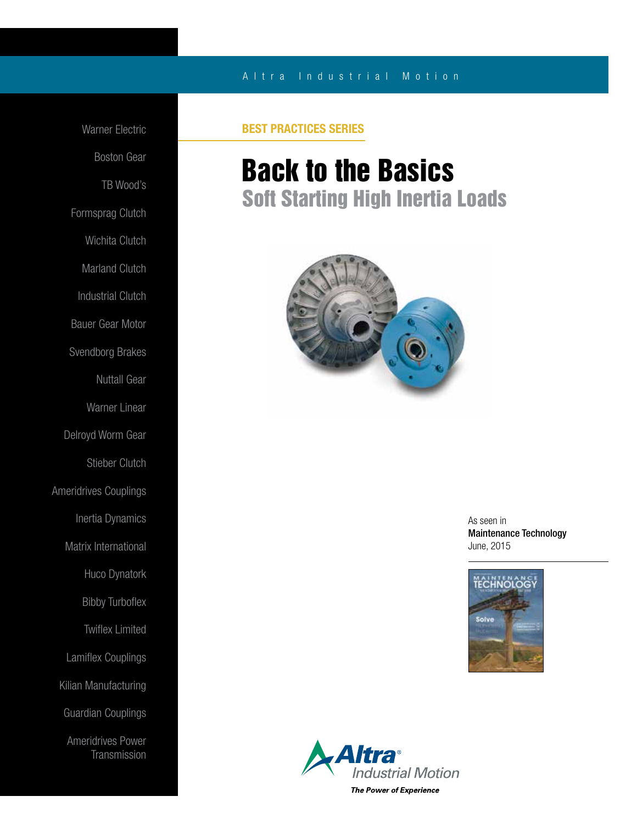### A l t r a Industrial Motion

Warner Electric Boston Gear TB Wood's Formsprag Clutch Wichita Clutch Marland Clutch Industrial Clutch Bauer Gear Motor Svendborg Brakes Nuttall Gear Warner Linear Delroyd Worm Gear Stieber Clutch Ameridrives Couplings Inertia Dynamics Matrix International Huco Dynatork Bibby Turboflex Twiflex Limited Lamiflex Couplings Kilian Manufacturing Guardian Couplings Ameridrives Power **Transmission** 

### BEST PRACTICES SERIES

## Back to the Basics Soft Starting High Inertia Loads



As seen in Maintenance Technology June, 2015



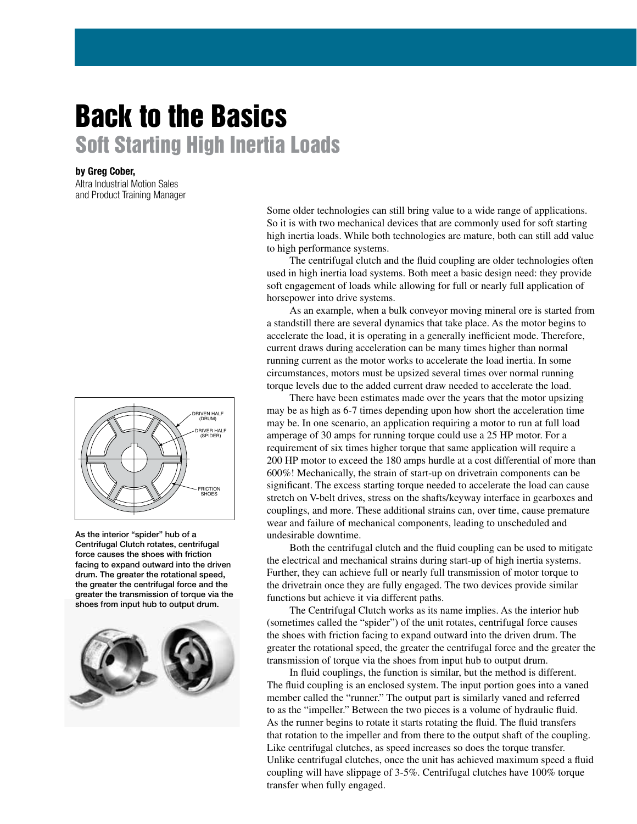# Back to the Basics Soft Starting High Inertia Loads

### by Greg Cober,

Altra Industrial Motion Sales and Product Training Manager



As the interior "spider" hub of a Centrifugal Clutch rotates, centrifugal force causes the shoes with friction facing to expand outward into the driven drum. The greater the rotational speed, the greater the centrifugal force and the greater the transmission of torque via the shoes from input hub to output drum.



Some older technologies can still bring value to a wide range of applications. So it is with two mechanical devices that are commonly used for soft starting high inertia loads. While both technologies are mature, both can still add value to high performance systems.

 The centrifugal clutch and the fluid coupling are older technologies often used in high inertia load systems. Both meet a basic design need: they provide soft engagement of loads while allowing for full or nearly full application of horsepower into drive systems.

 As an example, when a bulk conveyor moving mineral ore is started from a standstill there are several dynamics that take place. As the motor begins to accelerate the load, it is operating in a generally inefficient mode. Therefore, current draws during acceleration can be many times higher than normal running current as the motor works to accelerate the load inertia. In some circumstances, motors must be upsized several times over normal running torque levels due to the added current draw needed to accelerate the load.

 There have been estimates made over the years that the motor upsizing may be as high as 6-7 times depending upon how short the acceleration time may be. In one scenario, an application requiring a motor to run at full load amperage of 30 amps for running torque could use a 25 HP motor. For a requirement of six times higher torque that same application will require a 200 HP motor to exceed the 180 amps hurdle at a cost differential of more than 600%! Mechanically, the strain of start-up on drivetrain components can be significant. The excess starting torque needed to accelerate the load can cause stretch on V-belt drives, stress on the shafts/keyway interface in gearboxes and couplings, and more. These additional strains can, over time, cause premature wear and failure of mechanical components, leading to unscheduled and undesirable downtime.

 Both the centrifugal clutch and the fluid coupling can be used to mitigate the electrical and mechanical strains during start-up of high inertia systems. Further, they can achieve full or nearly full transmission of motor torque to the drivetrain once they are fully engaged. The two devices provide similar functions but achieve it via different paths.

 The Centrifugal Clutch works as its name implies. As the interior hub (sometimes called the "spider") of the unit rotates, centrifugal force causes the shoes with friction facing to expand outward into the driven drum. The greater the rotational speed, the greater the centrifugal force and the greater the transmission of torque via the shoes from input hub to output drum.

 In fluid couplings, the function is similar, but the method is different. The fluid coupling is an enclosed system. The input portion goes into a vaned member called the "runner." The output part is similarly vaned and referred to as the "impeller." Between the two pieces is a volume of hydraulic fluid. As the runner begins to rotate it starts rotating the fluid. The fluid transfers that rotation to the impeller and from there to the output shaft of the coupling. Like centrifugal clutches, as speed increases so does the torque transfer. Unlike centrifugal clutches, once the unit has achieved maximum speed a fluid coupling will have slippage of 3-5%. Centrifugal clutches have 100% torque transfer when fully engaged.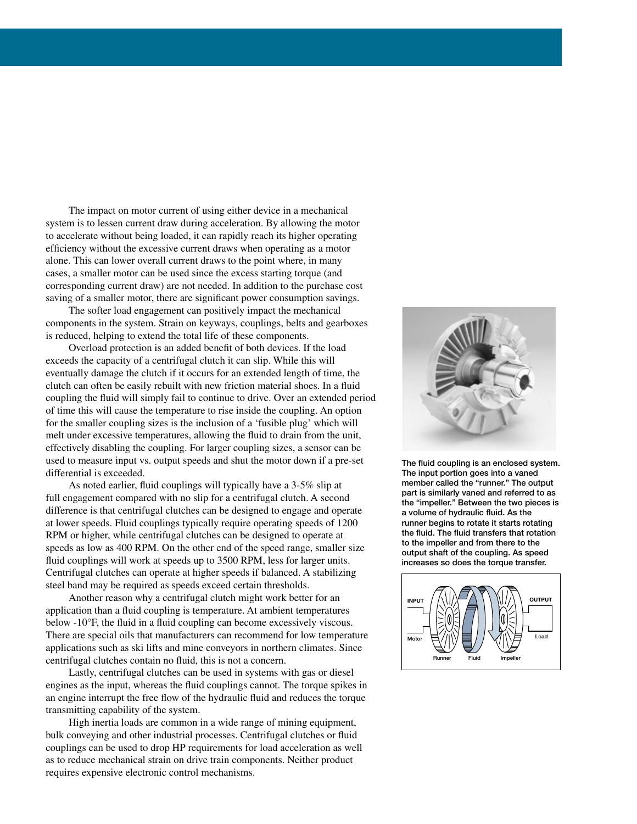The impact on motor current of using either device in a mechanical system is to lessen current draw during acceleration. By allowing the motor to accelerate without being loaded, it can rapidly reach its higher operating efficiency without the excessive current draws when operating as a motor alone. This can lower overall current draws to the point where, in many cases, a smaller motor can be used since the excess starting torque (and corresponding current draw) are not needed. In addition to the purchase cost saving of a smaller motor, there are significant power consumption savings.

 The softer load engagement can positively impact the mechanical components in the system. Strain on keyways, couplings, belts and gearboxes is reduced, helping to extend the total life of these components.

 Overload protection is an added benefit of both devices. If the load exceeds the capacity of a centrifugal clutch it can slip. While this will eventually damage the clutch if it occurs for an extended length of time, the clutch can often be easily rebuilt with new friction material shoes. In a fluid coupling the fluid will simply fail to continue to drive. Over an extended period of time this will cause the temperature to rise inside the coupling. An option for the smaller coupling sizes is the inclusion of a 'fusible plug' which will melt under excessive temperatures, allowing the fluid to drain from the unit, effectively disabling the coupling. For larger coupling sizes, a sensor can be used to measure input vs. output speeds and shut the motor down if a pre-set differential is exceeded.

 As noted earlier, fluid couplings will typically have a 3-5% slip at full engagement compared with no slip for a centrifugal clutch. A second difference is that centrifugal clutches can be designed to engage and operate at lower speeds. Fluid couplings typically require operating speeds of 1200 RPM or higher, while centrifugal clutches can be designed to operate at speeds as low as 400 RPM. On the other end of the speed range, smaller size fluid couplings will work at speeds up to 3500 RPM, less for larger units. Centrifugal clutches can operate at higher speeds if balanced. A stabilizing steel band may be required as speeds exceed certain thresholds.

 Another reason why a centrifugal clutch might work better for an application than a fluid coupling is temperature. At ambient temperatures below -10°F, the fluid in a fluid coupling can become excessively viscous. There are special oils that manufacturers can recommend for low temperature applications such as ski lifts and mine conveyors in northern climates. Since centrifugal clutches contain no fluid, this is not a concern.

 Lastly, centrifugal clutches can be used in systems with gas or diesel engines as the input, whereas the fluid couplings cannot. The torque spikes in an engine interrupt the free flow of the hydraulic fluid and reduces the torque transmitting capability of the system.

 High inertia loads are common in a wide range of mining equipment, bulk conveying and other industrial processes. Centrifugal clutches or fluid couplings can be used to drop HP requirements for load acceleration as well as to reduce mechanical strain on drive train components. Neither product requires expensive electronic control mechanisms.



The fluid coupling is an enclosed system. The input portion goes into a vaned member called the "runner." The output part is similarly vaned and referred to as the "impeller." Between the two pieces is a volume of hydraulic fluid. As the runner begins to rotate it starts rotating the fluid. The fluid transfers that rotation to the impeller and from there to the output shaft of the coupling. As speed increases so does the torque transfer.